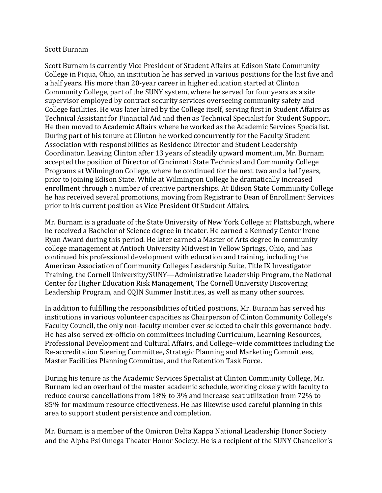## Scott Burnam

Scott Burnam is currently Vice President of Student Affairs at Edison State Community College in Piqua, Ohio, an institution he has served in various positions for the last five and a half years. His more than 20-year career in higher education started at Clinton Community College, part of the SUNY system, where he served for four years as a site supervisor employed by contract security services overseeing community safety and College facilities. He was later hired by the College itself, serving first in Student Affairs as Technical Assistant for Financial Aid and then as Technical Specialist for Student Support. He then moved to Academic Affairs where he worked as the Academic Services Specialist. During part of his tenure at Clinton he worked concurrently for the Faculty Student Association with responsibilities as Residence Director and Student Leadership Coordinator. Leaving Clinton after 13 years of steadily upward momentum, Mr. Burnam accepted the position of Director of Cincinnati State Technical and Community College Programs at Wilmington College, where he continued for the next two and a half years, prior to joining Edison State. While at Wilmington College he dramatically increased enrollment through a number of creative partnerships. At Edison State Community College he has received several promotions, moving from Registrar to Dean of Enrollment Services prior to his current position as Vice President Of Student Affairs.

Mr. Burnam is a graduate of the State University of New York College at Plattsburgh, where he received a Bachelor of Science degree in theater. He earned a Kennedy Center Irene Ryan Award during this period. He later earned a Master of Arts degree in community college management at Antioch University Midwest in Yellow Springs, Ohio, and has continued his professional development with education and training, including the American Association of Community Colleges Leadership Suite, Title IX Investigator Training, the Cornell University/SUNY—Administrative Leadership Program, the National Center for Higher Education Risk Management, The Cornell University Discovering Leadership Program, and CQIN Summer Institutes, as well as many other sources.

In addition to fulfilling the responsibilities of titled positions, Mr. Burnam has served his institutions in various volunteer capacities as Chairperson of Clinton Community College's Faculty Council, the only non-faculty member ever selected to chair this governance body. He has also served ex-officio on committees including Curriculum, Learning Resources, Professional Development and Cultural Affairs, and College–wide committees including the Re-accreditation Steering Committee, Strategic Planning and Marketing Committees, Master Facilities Planning Committee, and the Retention Task Force.

During his tenure as the Academic Services Specialist at Clinton Community College, Mr. Burnam led an overhaul of the master academic schedule, working closely with faculty to reduce course cancellations from 18% to 3% and increase seat utilization from 72% to 85% for maximum resource effectiveness. He has likewise used careful planning in this area to support student persistence and completion.

Mr. Burnam is a member of the Omicron Delta Kappa National Leadership Honor Society and the Alpha Psi Omega Theater Honor Society. He is a recipient of the SUNY Chancellor's